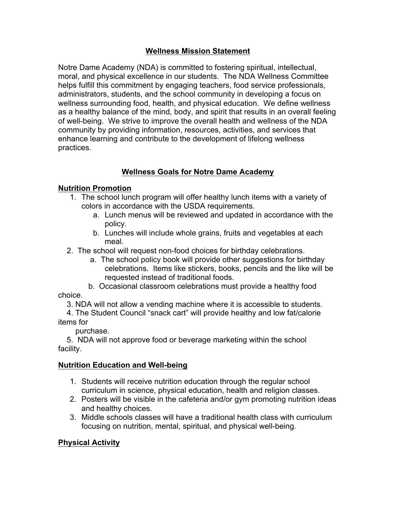## **Wellness Mission Statement**

Notre Dame Academy (NDA) is committed to fostering spiritual, intellectual, moral, and physical excellence in our students. The NDA Wellness Committee helps fulfill this commitment by engaging teachers, food service professionals, administrators, students, and the school community in developing a focus on wellness surrounding food, health, and physical education. We define wellness as a healthy balance of the mind, body, and spirit that results in an overall feeling of well-being. We strive to improve the overall health and wellness of the NDA community by providing information, resources, activities, and services that enhance learning and contribute to the development of lifelong wellness practices.

## **Wellness Goals for Notre Dame Academy**

## **Nutrition Promotion**

- 1. The school lunch program will offer healthy lunch items with a variety of colors in accordance with the USDA requirements.
	- a. Lunch menus will be reviewed and updated in accordance with the policy.
	- b. Lunches will include whole grains, fruits and vegetables at each meal.
- 2. The school will request non-food choices for birthday celebrations.
	- a. The school policy book will provide other suggestions for birthday celebrations. Items like stickers, books, pencils and the like will be requested instead of traditional foods.
- b. Occasional classroom celebrations must provide a healthy food choice.
	- 3. NDA will not allow a vending machine where it is accessible to students.
	- 4. The Student Council "snack cart" will provide healthy and low fat/calorie

## items for

purchase.

5. NDA will not approve food or beverage marketing within the school facility.

## **Nutrition Education and Well-being**

- 1. Students will receive nutrition education through the regular school curriculum in science, physical education, health and religion classes.
- 2. Posters will be visible in the cafeteria and/or gym promoting nutrition ideas and healthy choices.
- 3. Middle schools classes will have a traditional health class with curriculum focusing on nutrition, mental, spiritual, and physical well-being.

## **Physical Activity**